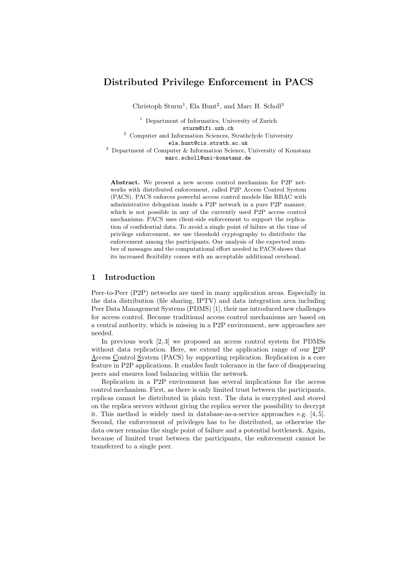# Distributed Privilege Enforcement in PACS

Christoph Sturm<sup>1</sup>, Ela Hunt<sup>2</sup>, and Marc H. Scholl<sup>3</sup>

<sup>1</sup> Department of Informatics, University of Zurich sturm@ifi.uzh.ch

<sup>2</sup> Computer and Information Sciences, Strathclyde University

ela.hunt@cis.strath.ac.uk

<sup>3</sup> Department of Computer & Information Science, University of Konstanz marc.scholl@uni-konstanz.de

Abstract. We present a new access control mechanism for P2P networks with distributed enforcement, called P2P Access Control System (PACS). PACS enforces powerful access control models like RBAC with administrative delegation inside a P2P network in a pure P2P manner, which is not possible in any of the currently used P2P access control mechanisms. PACS uses client-side enforcement to support the replication of confidential data. To avoid a single point of failure at the time of privilege enforcement, we use threshold cryptography to distribute the enforcement among the participants. Our analysis of the expected number of messages and the computational effort needed in PACS shows that its increased flexibility comes with an acceptable additional overhead.

# 1 Introduction

Peer-to-Peer (P2P) networks are used in many application areas. Especially in the data distribution (file sharing, IPTV) and data integration area including Peer Data Management Systems (PDMS) [1], their use introduced new challenges for access control. Because traditional access control mechanisms are based on a central authority, which is missing in a P2P environment, new approaches are needed.

In previous work [2,3] we proposed an access control system for PDMSs without data replication. Here, we extend the application range of our P2P Access Control System (PACS) by supporting replication. Replication is a core feature in P2P applications. It enables fault tolerance in the face of disappearing peers and ensures load balancing within the network.

Replication in a P2P environment has several implications for the access control mechanism. First, as there is only limited trust between the participants, replicas cannot be distributed in plain text. The data is encrypted and stored on the replica servers without giving the replica server the possibility to decrypt it. This method is widely used in database-as-a-service approaches e.g. [4, 5]. Second, the enforcement of privileges has to be distributed, as otherwise the data owner remains the single point of failure and a potential bottleneck. Again, because of limited trust between the participants, the enforcement cannot be transferred to a single peer.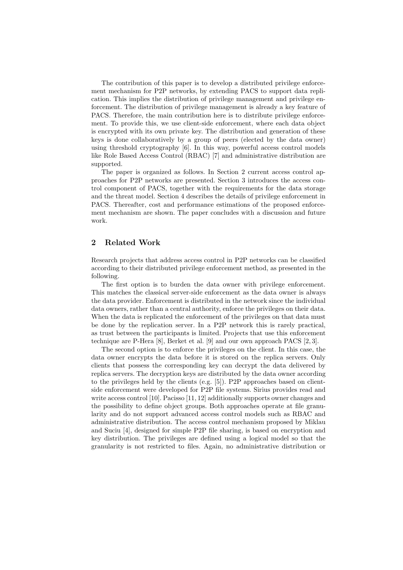The contribution of this paper is to develop a distributed privilege enforcement mechanism for P2P networks, by extending PACS to support data replication. This implies the distribution of privilege management and privilege enforcement. The distribution of privilege management is already a key feature of PACS. Therefore, the main contribution here is to distribute privilege enforcement. To provide this, we use client-side enforcement, where each data object is encrypted with its own private key. The distribution and generation of these keys is done collaboratively by a group of peers (elected by the data owner) using threshold cryptography [6]. In this way, powerful access control models like Role Based Access Control (RBAC) [7] and administrative distribution are supported.

The paper is organized as follows. In Section 2 current access control approaches for P2P networks are presented. Section 3 introduces the access control component of PACS, together with the requirements for the data storage and the threat model. Section 4 describes the details of privilege enforcement in PACS. Thereafter, cost and performance estimations of the proposed enforcement mechanism are shown. The paper concludes with a discussion and future work.

### 2 Related Work

Research projects that address access control in P2P networks can be classified according to their distributed privilege enforcement method, as presented in the following.

The first option is to burden the data owner with privilege enforcement. This matches the classical server-side enforcement as the data owner is always the data provider. Enforcement is distributed in the network since the individual data owners, rather than a central authority, enforce the privileges on their data. When the data is replicated the enforcement of the privileges on that data must be done by the replication server. In a P2P network this is rarely practical, as trust between the participants is limited. Projects that use this enforcement technique are P-Hera [8], Berket et al. [9] and our own approach PACS [2, 3].

The second option is to enforce the privileges on the client. In this case, the data owner encrypts the data before it is stored on the replica servers. Only clients that possess the corresponding key can decrypt the data delivered by replica servers. The decryption keys are distributed by the data owner according to the privileges held by the clients (e.g. [5]). P2P approaches based on clientside enforcement were developed for P2P file systems. Sirius provides read and write access control [10]. Pacisso [11, 12] additionally supports owner changes and the possibility to define object groups. Both approaches operate at file granularity and do not support advanced access control models such as RBAC and administrative distribution. The access control mechanism proposed by Miklau and Suciu [4], designed for simple P2P file sharing, is based on encryption and key distribution. The privileges are defined using a logical model so that the granularity is not restricted to files. Again, no administrative distribution or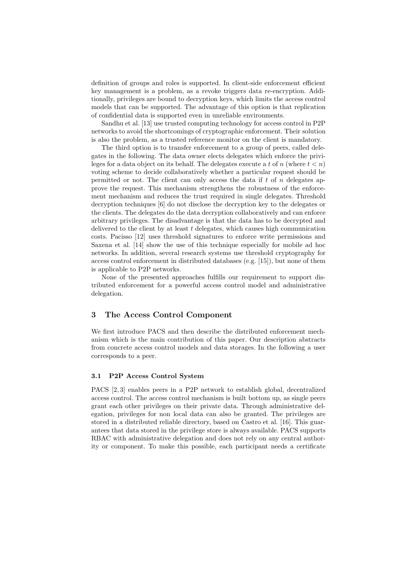definition of groups and roles is supported. In client-side enforcement efficient key management is a problem, as a revoke triggers data re-encryption. Additionally, privileges are bound to decryption keys, which limits the access control models that can be supported. The advantage of this option is that replication of confidential data is supported even in unreliable environments.

Sandhu et al. [13] use trusted computing technology for access control in P2P networks to avoid the shortcomings of cryptographic enforcement. Their solution is also the problem, as a trusted reference monitor on the client is mandatory.

The third option is to transfer enforcement to a group of peers, called delegates in the following. The data owner elects delegates which enforce the privileges for a data object on its behalf. The delegates execute a t of n (where  $t < n$ ) voting scheme to decide collaboratively whether a particular request should be permitted or not. The client can only access the data if  $t$  of  $n$  delegates approve the request. This mechanism strengthens the robustness of the enforcement mechanism and reduces the trust required in single delegates. Threshold decryption techniques [6] do not disclose the decryption key to the delegates or the clients. The delegates do the data decryption collaboratively and can enforce arbitrary privileges. The disadvantage is that the data has to be decrypted and delivered to the client by at least  $t$  delegates, which causes high communication costs. Pacisso [12] uses threshold signatures to enforce write permissions and Saxena et al. [14] show the use of this technique especially for mobile ad hoc networks. In addition, several research systems use threshold cryptography for access control enforcement in distributed databases (e.g. [15]), but none of them is applicable to P2P networks.

None of the presented approaches fulfills our requirement to support distributed enforcement for a powerful access control model and administrative delegation.

### 3 The Access Control Component

We first introduce PACS and then describe the distributed enforcement mechanism which is the main contribution of this paper. Our description abstracts from concrete access control models and data storages. In the following a user corresponds to a peer.

## 3.1 P2P Access Control System

PACS [2, 3] enables peers in a P2P network to establish global, decentralized access control. The access control mechanism is built bottom up, as single peers grant each other privileges on their private data. Through administrative delegation, privileges for non local data can also be granted. The privileges are stored in a distributed reliable directory, based on Castro et al. [16]. This guarantees that data stored in the privilege store is always available. PACS supports RBAC with administrative delegation and does not rely on any central authority or component. To make this possible, each participant needs a certificate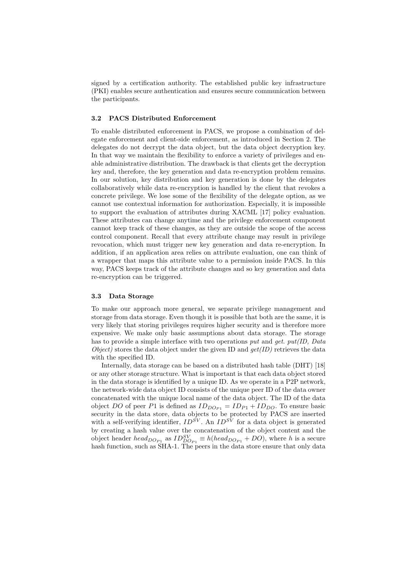signed by a certification authority. The established public key infrastructure (PKI) enables secure authentication and ensures secure communication between the participants.

#### 3.2 PACS Distributed Enforcement

To enable distributed enforcement in PACS, we propose a combination of delegate enforcement and client-side enforcement, as introduced in Section 2. The delegates do not decrypt the data object, but the data object decryption key. In that way we maintain the flexibility to enforce a variety of privileges and enable administrative distribution. The drawback is that clients get the decryption key and, therefore, the key generation and data re-encryption problem remains. In our solution, key distribution and key generation is done by the delegates collaboratively while data re-encryption is handled by the client that revokes a concrete privilege. We lose some of the flexibility of the delegate option, as we cannot use contextual information for authorization. Especially, it is impossible to support the evaluation of attributes during XACML [17] policy evaluation. These attributes can change anytime and the privilege enforcement component cannot keep track of these changes, as they are outside the scope of the access control component. Recall that every attribute change may result in privilege revocation, which must trigger new key generation and data re-encryption. In addition, if an application area relies on attribute evaluation, one can think of a wrapper that maps this attribute value to a permission inside PACS. In this way, PACS keeps track of the attribute changes and so key generation and data re-encryption can be triggered.

#### 3.3 Data Storage

To make our approach more general, we separate privilege management and storage from data storage. Even though it is possible that both are the same, it is very likely that storing privileges requires higher security and is therefore more expensive. We make only basic assumptions about data storage. The storage has to provide a simple interface with two operations put and get. put(ID, Data  $Object$ ) stores the data object under the given ID and  $get(ID)$  retrieves the data with the specified ID.

Internally, data storage can be based on a distributed hash table (DHT) [18] or any other storage structure. What is important is that each data object stored in the data storage is identified by a unique ID. As we operate in a P2P network, the network-wide data object ID consists of the unique peer ID of the data owner concatenated with the unique local name of the data object. The ID of the data object DO of peer P1 is defined as  $ID_{DO_{P1}} = ID_{P1} + ID_{DO}$ . To ensure basic security in the data store, data objects to be protected by PACS are inserted with a self-verifying identifier,  $ID^{SV}$ . An  $ID^{SV}$  for a data object is generated by creating a hash value over the concatenation of the object content and the object header  $head_{DO_{P1}}$  as  $ID_{DO_{P1}}^{SV} \equiv h(head_{DO_{P1}} + DO)$ , where h is a secure hash function, such as SHA-1. The peers in the data store ensure that only data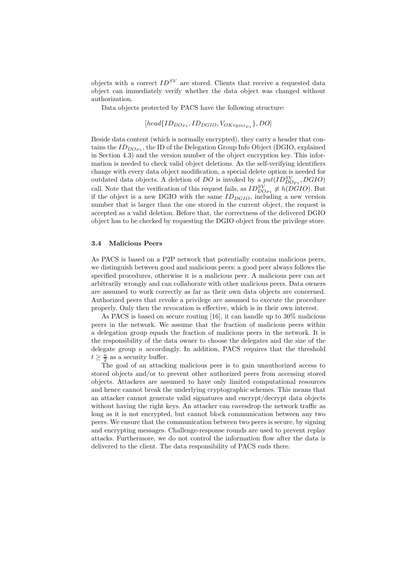objects with a correct  $ID^{SV}$  are stored. Clients that receive a requested data object can immediately verify whether the data object was changed without authorization.

Data objects protected by PACS have the following structure:

# $[head\{ID_{DO_{P1}}, ID_{DGIO}, V_{OKey_{DO_{P1}}} \}, DO]$

Beside data content (which is normally encrypted), they carry a header that contains the  $ID_{DO_{P1}}$ , the ID of the Delegation Group Info Object (DGIO, explained in Section 4.3) and the version number of the object encryption key. This information is needed to check valid object deletions. As the self-verifying identifiers change with every data object modification, a special delete option is needed for outdated data objects. A deletion of  $DO$  is invoked by a  $put(ID_{DO_{P1}}^{SV}, DGIO)$ call. Note that the verification of this request fails, as  $ID_{DO_{P1}}^{SV} \neq h(DGIO)$ . But if the object is a new DGIO with the same  $ID_{DGIO}$ , including a new version number that is larger than the one stored in the current object, the request is accepted as a valid deletion. Before that, the correctness of the delivered DGIO object has to be checked by requesting the DGIO object from the privilege store.

#### 3.4 Malicious Peers

As PACS is based on a P2P network that potentially contains malicious peers, we distinguish between good and malicious peers: a good peer always follows the specified procedures, otherwise it is a malicious peer. A malicious peer can act arbitrarily wrongly and can collaborate with other malicious peers. Data owners are assumed to work correctly as far as their own data objects are concerned. Authorized peers that revoke a privilege are assumed to execute the procedure properly. Only then the revocation is effective, which is in their own interest.

As PACS is based on secure routing [16], it can handle up to 30% malicious peers in the network. We assume that the fraction of malicious peers within a delegation group equals the fraction of malicious peers in the network. It is the responsibility of the data owner to choose the delegates and the size of the delegate group n accordingly. In addition, PACS requires that the threshold  $t \geq \frac{n}{2}$  as a security buffer.

The goal of an attacking malicious peer is to gain unauthorized access to stored objects and/or to prevent other authorized peers from accessing stored objects. Attackers are assumed to have only limited computational resources and hence cannot break the underlying cryptographic schemes. This means that an attacker cannot generate valid signatures and encrypt/decrypt data objects without having the right keys. An attacker can eavesdrop the network traffic as long as it is not encrypted, but cannot block communication between any two peers. We ensure that the communication between two peers is secure, by signing and encrypting messages. Challenge-response rounds are used to prevent replay attacks. Furthermore, we do not control the information flow after the data is delivered to the client. The data responsibility of PACS ends there.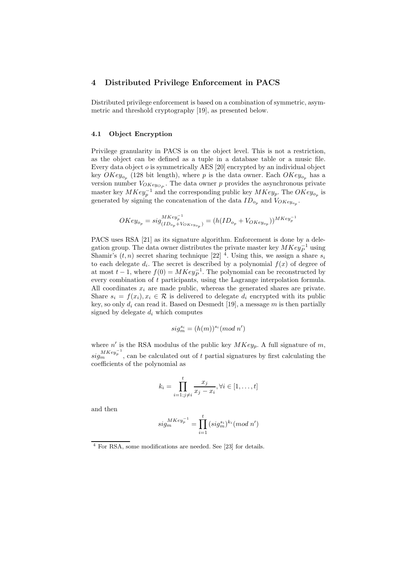## 4 Distributed Privilege Enforcement in PACS

Distributed privilege enforcement is based on a combination of symmetric, asymmetric and threshold cryptography [19], as presented below.

#### 4.1 Object Encryption

Privilege granularity in PACS is on the object level. This is not a restriction, as the object can be defined as a tuple in a database table or a music file. Every data object o is symmetrically AES [20] encrypted by an individual object key  $OKey_{o_p}$  (128 bit length), where p is the data owner. Each  $OKey_{o_p}$  has a version number  $V_{OKeyo_P}$ . The data owner p provides the asynchronous private master key  $MKey_p^{-1}$  and the corresponding public key  $MKey_p$ . The  $OKey_{o_p}$  is generated by signing the concatenation of the data  $ID_{o_p}$  and  $V_{OKey_{o_p}}$ .

$$
OKey_{o_p} = sig_{(ID_{o_p} + V_{OKey_{o_p}})}^{MKey_p^{-1}} = (h(ID_{o_p} + V_{OKey_{o_p}}))^{MKey_p^{-1}}
$$

PACS uses RSA [21] as its signature algorithm. Enforcement is done by a delegation group. The data owner distributes the private master key  $MKey_P^{-1}$  using Shamir's  $(t, n)$  secret sharing technique [22]<sup>4</sup>. Using this, we assign a share  $s_i$ to each delegate  $d_i$ . The secret is described by a polynomial  $f(x)$  of degree of at most  $t - 1$ , where  $f(0) = MKey_p^{-1}$ . The polynomial can be reconstructed by every combination of t participants, using the Lagrange interpolation formula. All coordinates  $x_i$  are made public, whereas the generated shares are private. Share  $s_i = f(x_i), x_i \in \mathcal{R}$  is delivered to delegate  $d_i$  encrypted with its public key, so only  $d_i$  can read it. Based on Desmedt [19], a message m is then partially signed by delegate  $d_i$  which computes

$$
sig_m^{s_i} = (h(m))^{s_i} (mod\ n')
$$

where  $n'$  is the RSA modulus of the public key  $MKey_p$ . A full signature of m,  $sig_m^{MKey_p^{-1}}$ , can be calculated out of t partial signatures by first calculating the coefficients of the polynomial as

$$
k_i = \prod_{i=1; j \neq i}^{t} \frac{x_j}{x_j - x_i}, \forall i \in [1, \dots, t]
$$

and then

$$
sig_m^{MKey_p^{-1}} = \prod_{i=1}^t (sig_m^{s_i})^{k_i} (mod\ n')
$$

 $\frac{4 \text{ For RSA}}{4 \text{ For RSA}}$ , some modifications are needed. See [23] for details.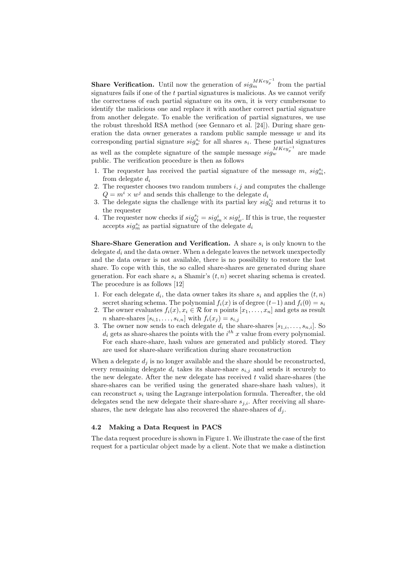**Share Verification.** Until now the generation of  $sig_m^{MKey_p^{-1}}$  from the partial signatures fails if one of the  $t$  partial signatures is malicious. As we cannot verify the correctness of each partial signature on its own, it is very cumbersome to identify the malicious one and replace it with another correct partial signature from another delegate. To enable the verification of partial signatures, we use the robust threshold RSA method (see Gennaro et al. [24]). During share generation the data owner generates a random public sample message  $w$  and its corresponding partial signature  $sig_w^{s_i}$  for all shares  $s_i$ . These partial signatures as well as the complete signature of the sample message  $sig_w^{MKey_p^{-1}}$  are made

public. The verification procedure is then as follows

- 1. The requester has received the partial signature of the message m,  $sig_m^{s_i}$ , from delegate  $d_i$
- 2. The requester chooses two random numbers  $i, j$  and computes the challenge  $Q = m^i \times w^j$  and sends this challenge to the delegate  $d_i$
- 3. The delegate signs the challenge with its partial key  $sig_Q^{s_i}$  and returns it to the requester
- 4. The requester now checks if  $sig_Q^{s_i} = sig_m^i \times sig_w^j$ . If this is true, the requester accepts  $sig_m^{s_i}$  as partial signature of the delegate  $d_i$

**Share-Share Generation and Verification.** A share  $s_i$  is only known to the delegate  $d_i$  and the data owner. When a delegate leaves the network unexpectedly and the data owner is not available, there is no possibility to restore the lost share. To cope with this, the so called share-shares are generated during share generation. For each share  $s_i$  a Shamir's  $(t, n)$  secret sharing schema is created. The procedure is as follows [12]

- 1. For each delegate  $d_i$ , the data owner takes its share  $s_i$  and applies the  $(t, n)$ secret sharing schema. The polynomial  $f_i(x)$  is of degree  $(t-1)$  and  $f_i(0) = s_i$
- 2. The owner evaluates  $f_i(x), x_i \in \mathcal{R}$  for *n* points  $[x_1, \ldots, x_n]$  and gets as result *n* share-shares  $[s_{i,1}, \ldots, s_{i,n}]$  with  $f_i(x_j) = s_{i,j}$
- 3. The owner now sends to each delegate  $d_i$  the share-shares  $[s_{1,i},\ldots,s_{n,i}]$ . So  $d_i$  gets as share-shares the points with the  $i^{th}$  x value from every polynomial. For each share-share, hash values are generated and publicly stored. They are used for share-share verification during share reconstruction

When a delegate  $d_j$  is no longer available and the share should be reconstructed, every remaining delegate  $d_i$  takes its share-share  $s_{i,j}$  and sends it securely to the new delegate. After the new delegate has received  $t$  valid share-shares (the share-shares can be verified using the generated share-share hash values), it can reconstruct  $s_i$  using the Lagrange interpolation formula. Thereafter, the old delegates send the new delegate their share-share  $s_{i,i}$ . After receiving all shareshares, the new delegate has also recovered the share-shares of  $d_i$ .

#### 4.2 Making a Data Request in PACS

The data request procedure is shown in Figure 1. We illustrate the case of the first request for a particular object made by a client. Note that we make a distinction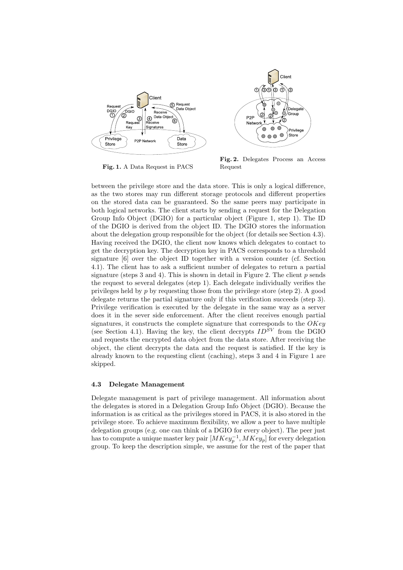

Fig. 1. A Data Request in PACS



Fig. 2. Delegates Process an Access Request

between the privilege store and the data store. This is only a logical difference, as the two stores may run different storage protocols and different properties on the stored data can be guaranteed. So the same peers may participate in both logical networks. The client starts by sending a request for the Delegation Group Info Object (DGIO) for a particular object (Figure 1, step 1). The ID of the DGIO is derived from the object ID. The DGIO stores the information about the delegation group responsible for the object (for details see Section 4.3). Having received the DGIO, the client now knows which delegates to contact to get the decryption key. The decryption key in PACS corresponds to a threshold signature [6] over the object ID together with a version counter (cf. Section 4.1). The client has to ask a sufficient number of delegates to return a partial signature (steps 3 and 4). This is shown in detail in Figure 2. The client  $p$  sends the request to several delegates (step 1). Each delegate individually verifies the privileges held by  $p$  by requesting those from the privilege store (step 2). A good delegate returns the partial signature only if this verification succeeds (step 3). Privilege verification is executed by the delegate in the same way as a server does it in the sever side enforcement. After the client receives enough partial signatures, it constructs the complete signature that corresponds to the  $OKey$ (see Section 4.1). Having the key, the client decrypts  $ID^{SV}$  from the DGIO and requests the encrypted data object from the data store. After receiving the object, the client decrypts the data and the request is satisfied. If the key is already known to the requesting client (caching), steps 3 and 4 in Figure 1 are skipped.

#### 4.3 Delegate Management

Delegate management is part of privilege management. All information about the delegates is stored in a Delegation Group Info Object (DGIO). Because the information is as critical as the privileges stored in PACS, it is also stored in the privilege store. To achieve maximum flexibility, we allow a peer to have multiple delegation groups (e.g. one can think of a DGIO for every object). The peer just has to compute a unique master key pair  $[MKey_p^{-1}, MKey_p]$  for every delegation group. To keep the description simple, we assume for the rest of the paper that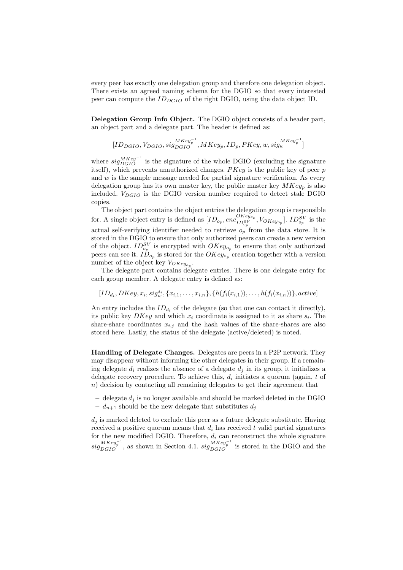every peer has exactly one delegation group and therefore one delegation object. There exists an agreed naming schema for the DGIO so that every interested peer can compute the  $ID_{DGIO}$  of the right DGIO, using the data object ID.

Delegation Group Info Object. The DGIO object consists of a header part, an object part and a delegate part. The header is defined as:

$$
[ID_{DGIO},V_{DGIO},sig^{MKey^{-1}}_{DGIO},MKey_p,ID_p,PKey,w,sig^{MKey^{-1}}_v]
$$

where  $sig_{DGIO}^{MKey^{-1}}$  is the signature of the whole DGIO (excluding the signature itself), which prevents unauthorized changes.  $PKey$  is the public key of peer  $p$ and  $w$  is the sample message needed for partial signature verification. As every delegation group has its own master key, the public master key  $MKev_n$  is also included.  $V_{DGIO}$  is the DGIO version number required to detect stale DGIO copies.

The object part contains the object entries the delegation group is responsible for. A single object entry is defined as  $[ID_{o_p}, enc_{ID^{SV}}^{OKey_{o_p}}]$  $\frac{U_1 N_c}{I D_{op}^{SV}}$ ,  $V_{OKey_{op}}$ ].  $ID_{op}^{SV}$  is the actual self-verifying identifier needed to retrieve  $o_p^{op}$  from the data store. It is stored in the DGIO to ensure that only authorized peers can create a new version of the object.  $ID_{o_p}^{SV}$  is encrypted with  $OKey_{o_p}$  to ensure that only authorized peers can see it.  $ID_{o_p}$  is stored for the  $OKey_{o_p}$  creation together with a version number of the object key  $V_{OKey_{o_p}}$ .

The delegate part contains delegate entries. There is one delegate entry for each group member. A delegate entry is defined as:

 $[ID_{d_i}, DKey, x_i, sig_w^{s_i}, \{x_{i,1}, \ldots, x_{i,n}\}, \{h(f_i(x_{i,1})), \ldots, h(f_i(x_{i,n}))\}, active]$ 

An entry includes the  $ID_{d_i}$  of the delegate (so that one can contact it directly), its public key  $DKey$  and which  $x_i$  coordinate is assigned to it as share  $s_i$ . The share-share coordinates  $x_{i,j}$  and the hash values of the share-shares are also stored here. Lastly, the status of the delegate (active/deleted) is noted.

Handling of Delegate Changes. Delegates are peers in a P2P network. They may disappear without informing the other delegates in their group. If a remaining delegate  $d_i$  realizes the absence of a delegate  $d_j$  in its group, it initializes a delegate recovery procedure. To achieve this,  $d_i$  initiates a quorum (again, t of n) decision by contacting all remaining delegates to get their agreement that

– delegate  $d_i$  is no longer available and should be marked deleted in the DGIO –  $d_{n+1}$  should be the new delegate that substitutes  $d_i$ 

 $d_i$  is marked deleted to exclude this peer as a future delegate substitute. Having received a positive quorum means that  $d_i$  has received t valid partial signatures for the new modified DGIO. Therefore,  $d_i$  can reconstruct the whole signature  $sig_{DGIO}^{MKey_p^{-1}}$ , as shown in Section 4.1.  $sig_{DGIO}^{MKey_p^{-1}}$  is stored in the DGIO and the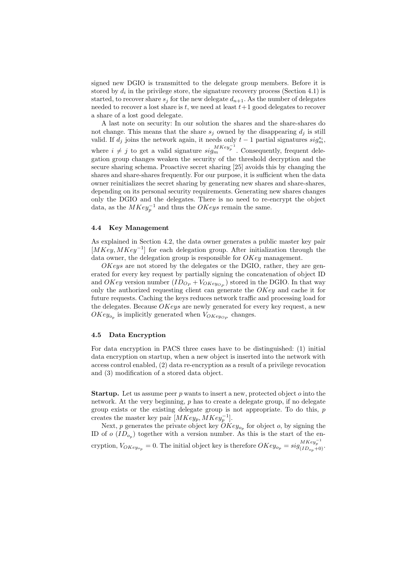signed new DGIO is transmitted to the delegate group members. Before it is stored by  $d_i$  in the privilege store, the signature recovery process (Section 4.1) is started, to recover share  $s_j$  for the new delegate  $d_{n+1}$ . As the number of delegates needed to recover a lost share is  $t$ , we need at least  $t+1$  good delegates to recover a share of a lost good delegate.

A last note on security: In our solution the shares and the share-shares do not change. This means that the share  $s_i$  owned by the disappearing  $d_i$  is still valid. If  $d_j$  joins the network again, it needs only  $t-1$  partial signatures  $sig_m^{s_i}$ , where  $i \neq j$  to get a valid signature  $sig_m^{MKey_p^{-1}}$ . Consequently, frequent delegation group changes weaken the security of the threshold decryption and the secure sharing schema. Proactive secret sharing [25] avoids this by changing the shares and share-shares frequently. For our purpose, it is sufficient when the data owner reinitializes the secret sharing by generating new shares and share-shares, depending on its personal security requirements. Generating new shares changes only the DGIO and the delegates. There is no need to re-encrypt the object data, as the  $MKey_p^{-1}$  and thus the *OKeys* remain the same.

#### 4.4 Key Management

As explained in Section 4.2, the data owner generates a public master key pair  $[MKey, MKey^{-1}]$  for each delegation group. After initialization through the data owner, the delegation group is responsible for  $OKey$  management.

 $OKeus$  are not stored by the delegates or the DGIO, rather, they are generated for every key request by partially signing the concatenation of object ID and  $OKey$  version number  $(ID_{O_P} + V_{OKey_{O_P}})$  stored in the DGIO. In that way only the authorized requesting client can generate the  $OKey$  and cache it for future requests. Caching the keys reduces network traffic and processing load for the delegates. Because  $OKeys$  are newly generated for every key request, a new  $OKey_{o_p}$  is implicitly generated when  $V_{OKey_{O_p}}$  changes.

#### 4.5 Data Encryption

For data encryption in PACS three cases have to be distinguished: (1) initial data encryption on startup, when a new object is inserted into the network with access control enabled, (2) data re-encryption as a result of a privilege revocation and (3) modification of a stored data object.

**Startup.** Let us assume peer  $p$  wants to insert a new, protected object  $o$  into the network. At the very beginning,  $p$  has to create a delegate group, if no delegate group exists or the existing delegate group is not appropriate. To do this,  $p$ creates the master key pair  $[MKey_p, MKey_p^{-1}].$ 

Next, p generates the private object key  $OKey_{o_p}$  for object o, by signing the ID of  $o$  ( $ID_{o_p}$ ) together with a version number. As this is the start of the encryption,  $V_{OKey_{o_p}} = 0$ . The initial object key is therefore  $OKey_{o_p} = sig_{(ID_{o_p}+0)}^{MKey_p^{-1}}$ .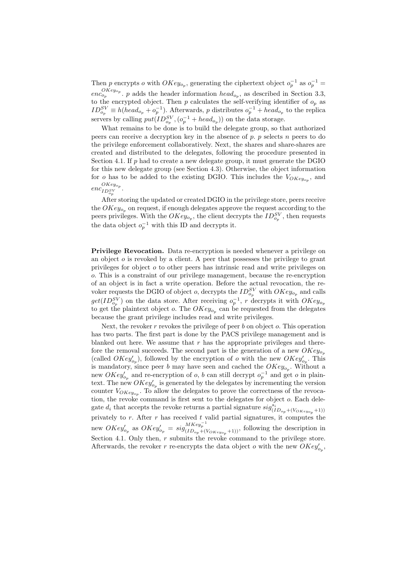Then p encrypts o with  $OKey_{o_p}$ , generating the ciphertext object  $o_p^{-1}$  as  $o_p^{-1}$  =  $enc_{o_p}^{OKey_{o_p}}$ . p adds the header information  $head_{o_p}$ , as described in Section 3.3, to the encrypted object. Then p calculates the self-verifying identifier of  $o_p$  as  $ID_{o_p}^{SV} \equiv h(head_{o_p} + o_p^{-1})$ . Afterwards, p distributes  $o_p^{-1} + head_{o_p}$  to the replica servers by calling  $put(ID_{o_p}^{SV}, (o_p^{-1} + head_{o_p}))$  on the data storage.

What remains to be done is to build the delegate group, so that authorized peers can receive a decryption key in the absence of  $p$ .  $p$  selects  $n$  peers to do the privilege enforcement collaboratively. Next, the shares and share-shares are created and distributed to the delegates, following the procedure presented in Section 4.1. If  $p$  had to create a new delegate group, it must generate the DGIO for this new delegate group (see Section 4.3). Otherwise, the object information for *o* has to be added to the existing DGIO. This includes the  $V_{OKey_{o_p}}$ , and  $enc_{INSV}^{OKey_{o_p}}$  $\frac{U_{D_{op}}^{S}V}{ID_{op}^{S}}$ 

After storing the updated or created DGIO in the privilege store, peers receive the  $OKey_{o_p}$  on request, if enough delegates approve the request according to the peers privileges. With the  $OKey_{o_p}$ , the client decrypts the  $ID_{o_p}^{SV}$ , then requests the data object  $o_p^{-1}$  with this ID and decrypts it.

Privilege Revocation. Data re-encryption is needed whenever a privilege on an object  $\sigma$  is revoked by a client. A peer that possesses the privilege to grant privileges for object o to other peers has intrinsic read and write privileges on o. This is a constraint of our privilege management, because the re-encryption of an object is in fact a write operation. Before the actual revocation, the revoker requests the DGIO of object *o*, decrypts the  $ID_{o_p}^{SV}$  with  $OKey_{o_p}$  and calls  $get(ID_{o_p}^{SV})$  on the data store. After receiving  $o_p^{-1}$ , r decrypts it with  $OKey_{o_p}$ to get the plaintext object *o*. The  $OKey_{o_p}$  can be requested from the delegates because the grant privilege includes read and write privileges.

Next, the revoker  $r$  revokes the privilege of peer  $b$  on object  $o$ . This operation has two parts. The first part is done by the PACS privilege management and is blanked out here. We assume that  $r$  has the appropriate privileges and therefore the removal succeeds. The second part is the generation of a new  $OKey_{o_p}$ (called  $OKey'_{o_p}$ ), followed by the encryption of o with the new  $OKey'_{o_p}$ . This is mandatory, since peer b may have seen and cached the  $OKey_{o_p}$ . Without a new  $OKey'_{o_p}$  and re-encryption of  $o, b$  can still decrypt  $o_p^{-1}$  and get  $o$  in plaintext. The new  $OKey'_{o_p}$  is generated by the delegates by incrementing the version counter  $V_{OKey_{o_p}}$ . To allow the delegates to prove the correctness of the revocation, the revoke command is first sent to the delegates for object  $o$ . Each delegate  $d_i$  that accepts the revoke returns a partial signature  $sig_{(ID_{op} + (V_{OKey_{op}} + 1))}^{s_i}$ privately to  $r$ . After  $r$  has received  $t$  valid partial signatures, it computes the new  $OKey'_{o_p}$  as  $OKey'_{o_p} = sig^{MKey_p^{-1}}_{(ID_{o_p} + (V_{OKey_{o_p}}+1))}$ , following the description in Section 4.1. Only then, r submits the revoke command to the privilege store. Afterwards, the revoker r re-encrypts the data object o with the new  $OKey'_{o_p}$ ,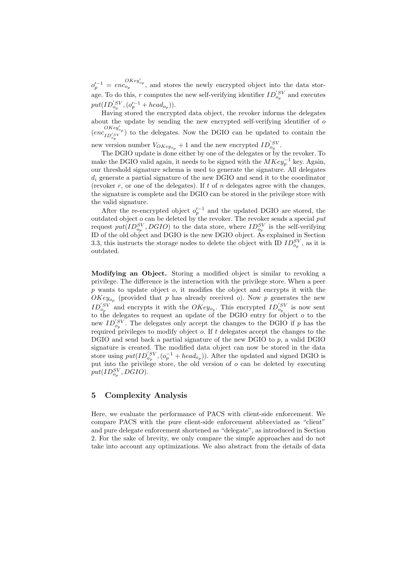$o_p^{\prime -1} = \text{enc}_{o_p}^{OKey'_{o_p}}$ , and stores the newly encrypted object into the data storage. To do this, r computes the new self-verifying identifier  $ID_{o_p}^{'SV}$  and executes  $put(ID'_{o_p}^{'}(o'_{p}^{-1} + head_{o_p})).$ 

Having stored the encrypted data object, the revoker informs the delegates about the update by sending the new encrypted self-verifying identifier of o  $\overline{(enc_{ID_{op}^{\prime S}})}$  $\frac{OKey'_{op}}{ID_{ov}^{ISV}}$  to the delegates. Now the DGIO can be updated to contain the new version number  $V_{OKey_{o_p}} + 1$  and the new encrypted  $ID_{o_p}^{'SV}$ .

The DGIO update is done either by one of the delegates or by the revoker. To make the DGIO valid again, it needs to be signed with the  $MKey_p^{-1}$  key. Again, our threshold signature schema is used to generate the signature. All delegates  $d_i$  generate a partial signature of the new DGIO and send it to the coordinator (revoker r, or one of the delegates). If t of n delegates agree with the changes, the signature is complete and the DGIO can be stored in the privilege store with the valid signature.

After the re-encrypted object  $o_p'^{-1}$  and the updated DGIO are stored, the outdated object  $o$  can be deleted by the revoker. The revoker sends a special  $put$ request  $put(ID_{o_p}^{SV}, DGIO)$  to the data store, where  $ID_{o_p}^{SV}$  is the self-verifying ID of the old object and DGIO is the new DGIO object. As explained in Section 3.3, this instructs the storage nodes to delete the object with ID  $ID_{o_p}^{SV}$ , as it is outdated.

Modifying an Object. Storing a modified object is similar to revoking a privilege. The difference is the interaction with the privilege store. When a peer  $p$  wants to update object  $o$ , it modifies the object and encrypts it with the  $OKey_{o_p}$  (provided that p has already received o). Now p generates the new  $ID_{o_p}^{'SV}$  and encrypts it with the  $OKey_{o_p}$ . This encrypted  $ID_{o_p}^{'SV}$  is now sent to the delegates to request an update of the DGIO entry for object o to the new  $ID_{o_p}^{'SV}$ . The delegates only accept the changes to the DGIO if p has the required privileges to modify object  $o$ . If t delegates accept the changes to the DGIO and send back a partial signature of the new DGIO to  $p$ , a valid DGIO signature is created. The modified data object can now be stored in the data store using  $put(ID'_{o_p}^{'}(o_p^{-1} + head_{o_p})).$  After the updated and signed DGIO is put into the privilege store, the old version of o can be deleted by executing  $put(ID_{o_p}^{SV}, DGIO).$ 

## 5 Complexity Analysis

Here, we evaluate the performance of PACS with client-side enforcement. We compare PACS with the pure client-side enforcement abbreviated as "client" and pure delegate enforcement shortened as "delegate", as introduced in Section 2. For the sake of brevity, we only compare the simple approaches and do not take into account any optimizations. We also abstract from the details of data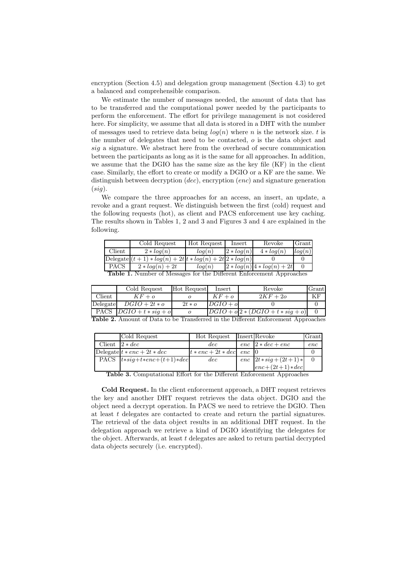encryption (Section 4.5) and delegation group management (Section 4.3) to get a balanced and comprehensible comparison.

We estimate the number of messages needed, the amount of data that has to be transferred and the computational power needed by the participants to perform the enforcement. The effort for privilege management is not cosidered here. For simplicity, we assume that all data is stored in a DHT with the number of messages used to retrieve data being  $log(n)$  where n is the network size. t is the number of delegates that need to be contacted,  $\sigma$  is the data object and sig a signature. We abstract here from the overhead of secure communication between the participants as long as it is the same for all approaches. In addition, we assume that the DGIO has the same size as the key file (KF) in the client case. Similarly, the effort to create or modify a DGIO or a KF are the same. We distinguish between decryption (dec), encryption (enc) and signature generation  $(sig).$ 

We compare the three approaches for an access, an insert, an update, a revoke and a grant request. We distinguish between the first (cold) request and the following requests (hot), as client and PACS enforcement use key caching. The results shown in Tables 1, 2 and 3 and Figures 3 and 4 are explained in the following.

|                                                                             | Cold Request                                                      | Hot Request | Insert       | Revoke                              | Grant  |  |
|-----------------------------------------------------------------------------|-------------------------------------------------------------------|-------------|--------------|-------------------------------------|--------|--|
| Client                                                                      | $2 * log(n)$                                                      | log(n)      | $2 * log(n)$ | $4 * log(n)$                        | log(n) |  |
|                                                                             | Delegate $(t + 1) * log(n) + 2t   t * log(n) + 2t   2 * log(n)  $ |             |              |                                     |        |  |
| PACS                                                                        | $2 * log(n) + 2t$                                                 | log(n)      |              | $\sqrt{2 * log(n) 4 * log(n)} + 2t$ |        |  |
| <b>Table 1.</b> Number of Messages for the Different Enforcement Approaches |                                                                   |             |              |                                     |        |  |

|          | Cold Request          | Hot Request | Insert     | Revoke                                          | Grant |
|----------|-----------------------|-------------|------------|-------------------------------------------------|-------|
| Client   | $KF + o$              |             | $KF + o$   | $2KF+2o$                                        | ΚF    |
| Delegate | $DGIO + 2t * o$       | $2t * o$    | $DGIO + o$ |                                                 |       |
|          | PACS $ DGIO+t*sig+o $ |             |            | $\overline{DGIO} + o 2 * (DGIO + t * sig + o) $ |       |

Table 2. Amount of Data to be Transferred in the Different Enforcement Approaches

|                  | Cold Request                           | Hot Request                        | Insert Revoke                                                                | Grant |
|------------------|----------------------------------------|------------------------------------|------------------------------------------------------------------------------|-------|
| Client $2 * dec$ |                                        | dec                                | $enc \ \ 2*dec+enc$                                                          | enc   |
|                  | Delegate $t * enc + 2t * dec$          | $t \cdot enc + 2t \cdot dec$ enc 0 |                                                                              |       |
|                  | PACS $t * sig + t * enc + (t+1) * dec$ | dec                                | $enc \begin{array}{c} 2t * sig + (2t+1) * \\ enc + (2t+1) * dec \end{array}$ |       |
|                  |                                        |                                    |                                                                              |       |

Table 3. Computational Effort for the Different Enforcement Approaches

Cold Request. In the client enforcement approach, a DHT request retrieves the key and another DHT request retrieves the data object. DGIO and the object need a decrypt operation. In PACS we need to retrieve the DGIO. Then at least t delegates are contacted to create and return the partial signatures. The retrieval of the data object results in an additional DHT request. In the delegation approach we retrieve a kind of DGIO identifying the delegates for the object. Afterwards, at least  $t$  delegates are asked to return partial decrypted data objects securely (i.e. encrypted).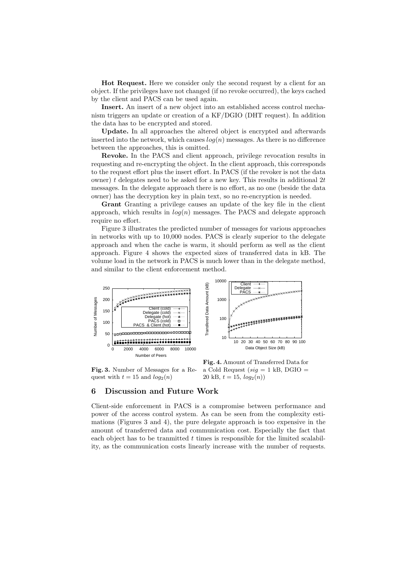Hot Request. Here we consider only the second request by a client for an object. If the privileges have not changed (if no revoke occurred), the keys cached by the client and PACS can be used again.

Insert. An insert of a new object into an established access control mechanism triggers an update or creation of a KF/DGIO (DHT request). In addition the data has to be encrypted and stored.

Update. In all approaches the altered object is encrypted and afterwards inserted into the network, which causes  $log(n)$  messages. As there is no difference between the approaches, this is omitted.

Revoke. In the PACS and client approach, privilege revocation results in requesting and re-encrypting the object. In the client approach, this corresponds to the request effort plus the insert effort. In PACS (if the revoker is not the data owner) t delegates need to be asked for a new key. This results in additional  $2t$ messages. In the delegate approach there is no effort, as no one (beside the data owner) has the decryption key in plain text, so no re-encryption is needed.

Grant Granting a privilege causes an update of the key file in the client approach, which results in  $log(n)$  messages. The PACS and delegate approach require no effort.

Figure 3 illustrates the predicted number of messages for various approaches in networks with up to 10,000 nodes. PACS is clearly superior to the delegate approach and when the cache is warm, it should perform as well as the client approach. Figure 4 shows the expected sizes of transferred data in kB. The volume load in the network in PACS is much lower than in the delegate method, and similar to the client enforcement method.



Fig. 3. Number of Messages for a Request with  $t = 15$  and  $log_2(n)$ 

Fig. 4. Amount of Transferred Data for a Cold Request ( $sig = 1$  kB, DGIO = 20 kB,  $t = 15$ ,  $log_2(n)$ )

## 6 Discussion and Future Work

Client-side enforcement in PACS is a compromise between performance and power of the access control system. As can be seen from the complexity estimations (Figures 3 and 4), the pure delegate approach is too expensive in the amount of transferred data and communication cost. Especially the fact that each object has to be tranmitted  $t$  times is responsible for the limited scalability, as the communication costs linearly increase with the number of requests.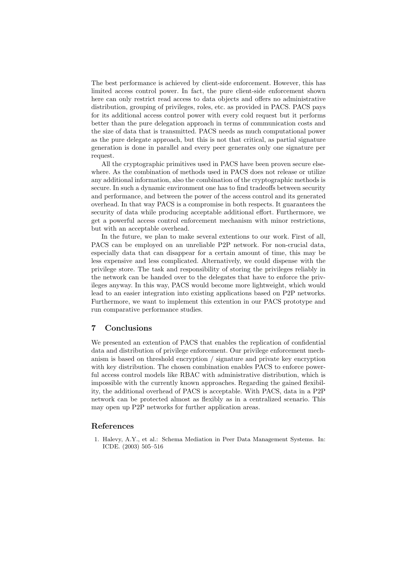The best performance is achieved by client-side enforcement. However, this has limited access control power. In fact, the pure client-side enforcement shown here can only restrict read access to data objects and offers no administrative distribution, grouping of privileges, roles, etc. as provided in PACS. PACS pays for its additional access control power with every cold request but it performs better than the pure delegation approach in terms of communication costs and the size of data that is transmitted. PACS needs as much computational power as the pure delegate approach, but this is not that critical, as partial signature generation is done in parallel and every peer generates only one signature per request.

All the cryptographic primitives used in PACS have been proven secure elsewhere. As the combination of methods used in PACS does not release or utilize any additional information, also the combination of the cryptographic methods is secure. In such a dynamic environment one has to find tradeoffs between security and performance, and between the power of the access control and its generated overhead. In that way PACS is a compromise in both respects. It guarantees the security of data while producing acceptable additional effort. Furthermore, we get a powerful access control enforcement mechanism with minor restrictions, but with an acceptable overhead.

In the future, we plan to make several extentions to our work. First of all, PACS can be employed on an unreliable P2P network. For non-crucial data, especially data that can disappear for a certain amount of time, this may be less expensive and less complicated. Alternatively, we could dispense with the privilege store. The task and responsibility of storing the privileges reliably in the network can be handed over to the delegates that have to enforce the privileges anyway. In this way, PACS would become more lightweight, which would lead to an easier integration into existing applications based on P2P networks. Furthermore, we want to implement this extention in our PACS prototype and run comparative performance studies.

## 7 Conclusions

We presented an extention of PACS that enables the replication of confidential data and distribution of privilege enforcement. Our privilege enforcement mechanism is based on threshold encryption / signature and private key encryption with key distribution. The chosen combination enables PACS to enforce powerful access control models like RBAC with administrative distribution, which is impossible with the currently known approaches. Regarding the gained flexibility, the additional overhead of PACS is acceptable. With PACS, data in a P2P network can be protected almost as flexibly as in a centralized scenario. This may open up P2P networks for further application areas.

## References

1. Halevy, A.Y., et al.: Schema Mediation in Peer Data Management Systems. In: ICDE. (2003) 505–516